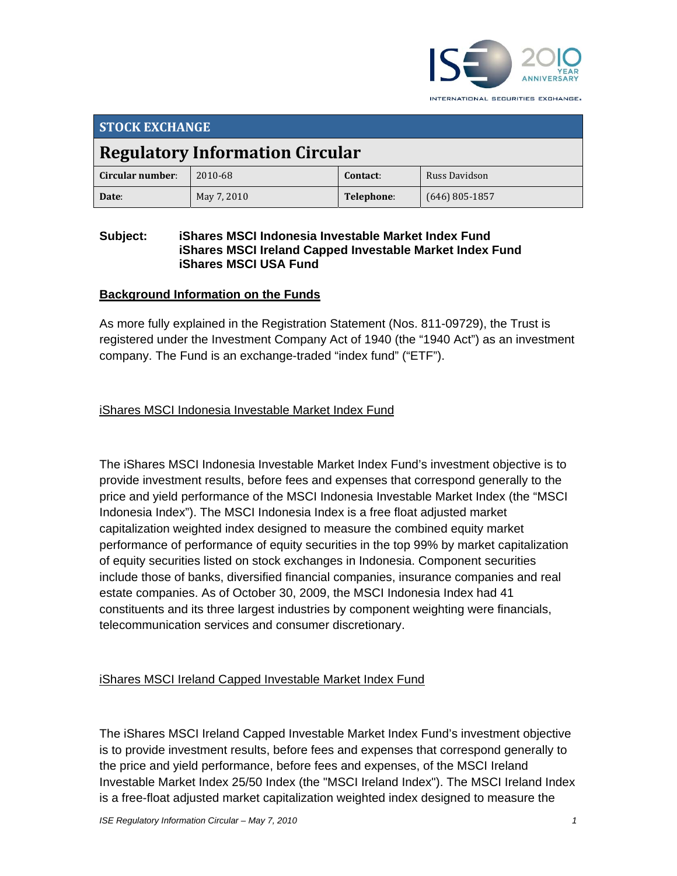

INTERNATIONAL SECURITIES EXCHANGE.

| <b>STOCK EXCHANGE</b>                  |             |            |                  |  |
|----------------------------------------|-------------|------------|------------------|--|
| <b>Regulatory Information Circular</b> |             |            |                  |  |
| Circular number:                       | 2010-68     | Contact:   | Russ Davidson    |  |
| Date:                                  | May 7, 2010 | Telephone: | $(646)$ 805-1857 |  |

### **Subject: iShares MSCI Indonesia Investable Market Index Fund iShares MSCI Ireland Capped Investable Market Index Fund iShares MSCI USA Fund**

### **Background Information on the Funds**

As more fully explained in the Registration Statement (Nos. 811-09729), the Trust is registered under the Investment Company Act of 1940 (the "1940 Act") as an investment company. The Fund is an exchange-traded "index fund" ("ETF").

## iShares MSCI Indonesia Investable Market Index Fund

The iShares MSCI Indonesia Investable Market Index Fund's investment objective is to provide investment results, before fees and expenses that correspond generally to the price and yield performance of the MSCI Indonesia Investable Market Index (the "MSCI Indonesia Index"). The MSCI Indonesia Index is a free float adjusted market capitalization weighted index designed to measure the combined equity market performance of performance of equity securities in the top 99% by market capitalization of equity securities listed on stock exchanges in Indonesia. Component securities include those of banks, diversified financial companies, insurance companies and real estate companies. As of October 30, 2009, the MSCI Indonesia Index had 41 constituents and its three largest industries by component weighting were financials, telecommunication services and consumer discretionary.

## iShares MSCI Ireland Capped Investable Market Index Fund

The iShares MSCI Ireland Capped Investable Market Index Fund's investment objective is to provide investment results, before fees and expenses that correspond generally to the price and yield performance, before fees and expenses, of the MSCI Ireland Investable Market Index 25/50 Index (the "MSCI Ireland Index"). The MSCI Ireland Index is a free-float adjusted market capitalization weighted index designed to measure the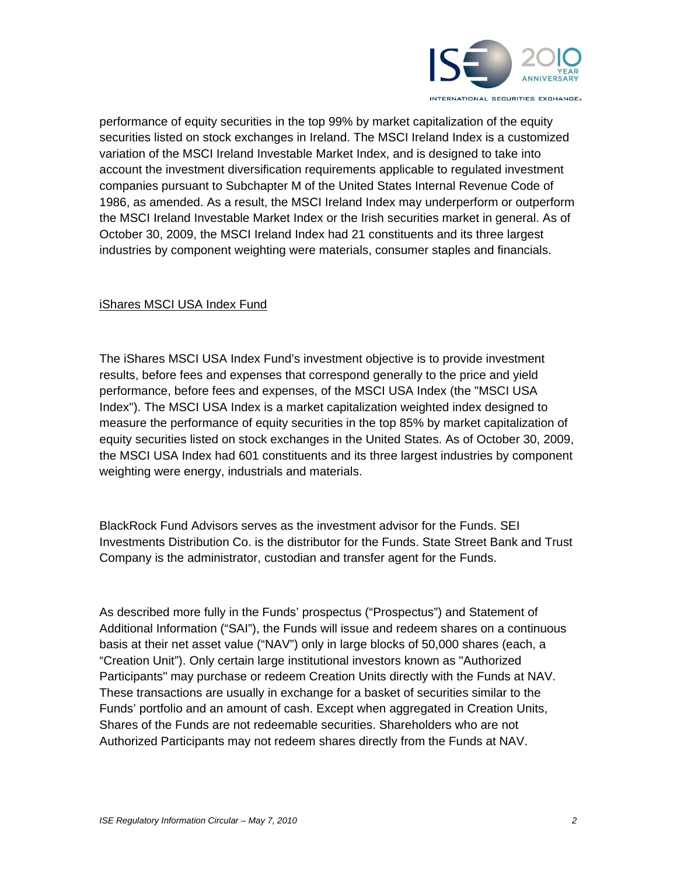

performance of equity securities in the top 99% by market capitalization of the equity securities listed on stock exchanges in Ireland. The MSCI Ireland Index is a customized variation of the MSCI Ireland Investable Market Index, and is designed to take into account the investment diversification requirements applicable to regulated investment companies pursuant to Subchapter M of the United States Internal Revenue Code of 1986, as amended. As a result, the MSCI Ireland Index may underperform or outperform the MSCI Ireland Investable Market Index or the Irish securities market in general. As of October 30, 2009, the MSCI Ireland Index had 21 constituents and its three largest industries by component weighting were materials, consumer staples and financials.

#### iShares MSCI USA Index Fund

The iShares MSCI USA Index Fund's investment objective is to provide investment results, before fees and expenses that correspond generally to the price and yield performance, before fees and expenses, of the MSCI USA Index (the "MSCI USA Index"). The MSCI USA Index is a market capitalization weighted index designed to measure the performance of equity securities in the top 85% by market capitalization of equity securities listed on stock exchanges in the United States. As of October 30, 2009, the MSCI USA Index had 601 constituents and its three largest industries by component weighting were energy, industrials and materials.

BlackRock Fund Advisors serves as the investment advisor for the Funds. SEI Investments Distribution Co. is the distributor for the Funds. State Street Bank and Trust Company is the administrator, custodian and transfer agent for the Funds.

As described more fully in the Funds' prospectus ("Prospectus") and Statement of Additional Information ("SAI"), the Funds will issue and redeem shares on a continuous basis at their net asset value ("NAV") only in large blocks of 50,000 shares (each, a "Creation Unit"). Only certain large institutional investors known as "Authorized Participants" may purchase or redeem Creation Units directly with the Funds at NAV. These transactions are usually in exchange for a basket of securities similar to the Funds' portfolio and an amount of cash. Except when aggregated in Creation Units, Shares of the Funds are not redeemable securities. Shareholders who are not Authorized Participants may not redeem shares directly from the Funds at NAV.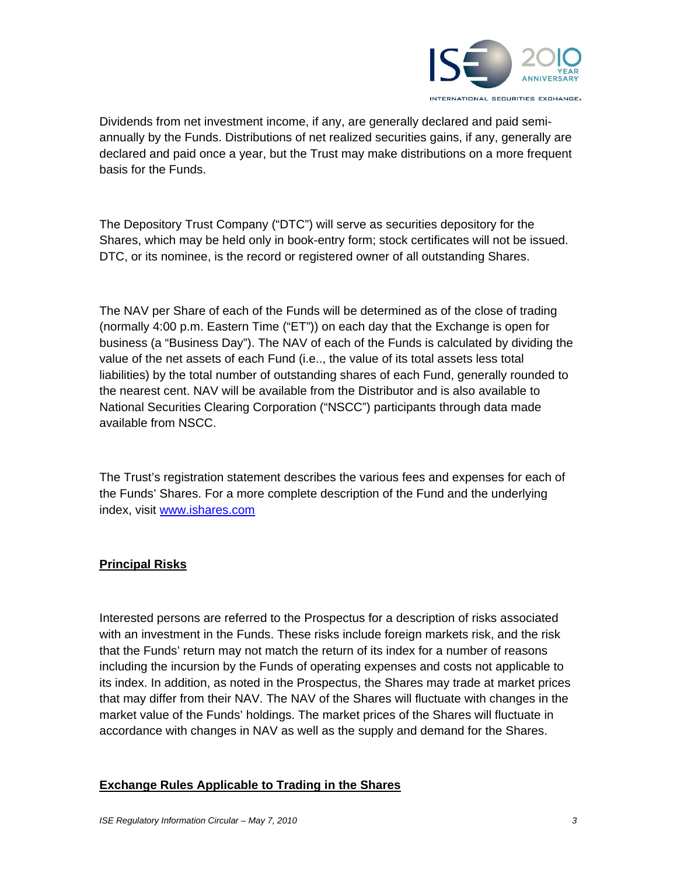

Dividends from net investment income, if any, are generally declared and paid semiannually by the Funds. Distributions of net realized securities gains, if any, generally are declared and paid once a year, but the Trust may make distributions on a more frequent basis for the Funds.

The Depository Trust Company ("DTC") will serve as securities depository for the Shares, which may be held only in book-entry form; stock certificates will not be issued. DTC, or its nominee, is the record or registered owner of all outstanding Shares.

The NAV per Share of each of the Funds will be determined as of the close of trading (normally 4:00 p.m. Eastern Time ("ET")) on each day that the Exchange is open for business (a "Business Day"). The NAV of each of the Funds is calculated by dividing the value of the net assets of each Fund (i.e.., the value of its total assets less total liabilities) by the total number of outstanding shares of each Fund, generally rounded to the nearest cent. NAV will be available from the Distributor and is also available to National Securities Clearing Corporation ("NSCC") participants through data made available from NSCC.

The Trust's registration statement describes the various fees and expenses for each of the Funds' Shares. For a more complete description of the Fund and the underlying index, visit www.ishares.com

## **Principal Risks**

Interested persons are referred to the Prospectus for a description of risks associated with an investment in the Funds. These risks include foreign markets risk, and the risk that the Funds' return may not match the return of its index for a number of reasons including the incursion by the Funds of operating expenses and costs not applicable to its index. In addition, as noted in the Prospectus, the Shares may trade at market prices that may differ from their NAV. The NAV of the Shares will fluctuate with changes in the market value of the Funds' holdings. The market prices of the Shares will fluctuate in accordance with changes in NAV as well as the supply and demand for the Shares.

#### **Exchange Rules Applicable to Trading in the Shares**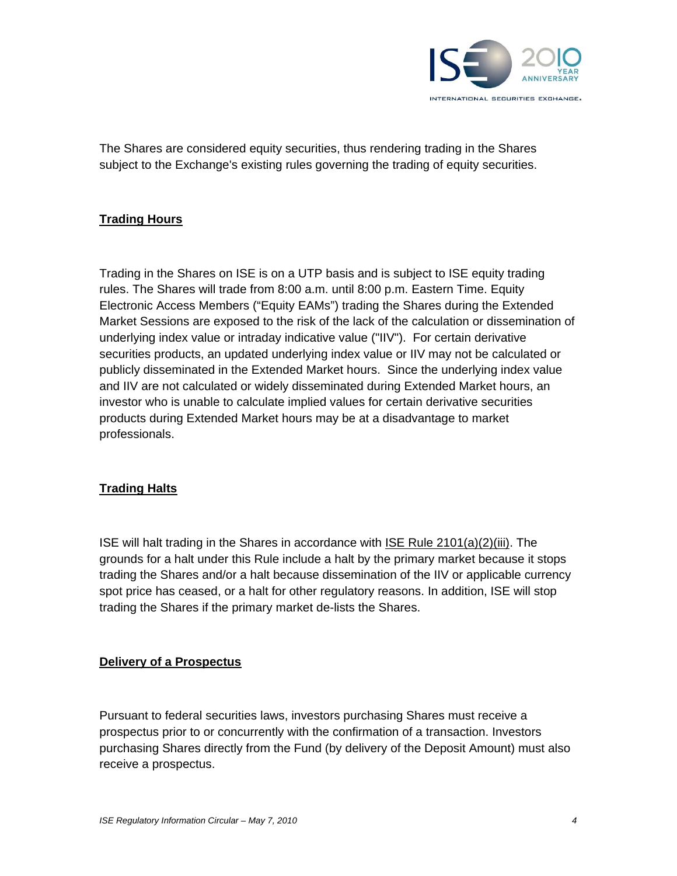

The Shares are considered equity securities, thus rendering trading in the Shares subject to the Exchange's existing rules governing the trading of equity securities.

## **Trading Hours**

Trading in the Shares on ISE is on a UTP basis and is subject to ISE equity trading rules. The Shares will trade from 8:00 a.m. until 8:00 p.m. Eastern Time. Equity Electronic Access Members ("Equity EAMs") trading the Shares during the Extended Market Sessions are exposed to the risk of the lack of the calculation or dissemination of underlying index value or intraday indicative value ("IIV"). For certain derivative securities products, an updated underlying index value or IIV may not be calculated or publicly disseminated in the Extended Market hours. Since the underlying index value and IIV are not calculated or widely disseminated during Extended Market hours, an investor who is unable to calculate implied values for certain derivative securities products during Extended Market hours may be at a disadvantage to market professionals.

#### **Trading Halts**

ISE will halt trading in the Shares in accordance with ISE Rule 2101(a)(2)(iii). The grounds for a halt under this Rule include a halt by the primary market because it stops trading the Shares and/or a halt because dissemination of the IIV or applicable currency spot price has ceased, or a halt for other regulatory reasons. In addition, ISE will stop trading the Shares if the primary market de-lists the Shares.

#### **Delivery of a Prospectus**

Pursuant to federal securities laws, investors purchasing Shares must receive a prospectus prior to or concurrently with the confirmation of a transaction. Investors purchasing Shares directly from the Fund (by delivery of the Deposit Amount) must also receive a prospectus.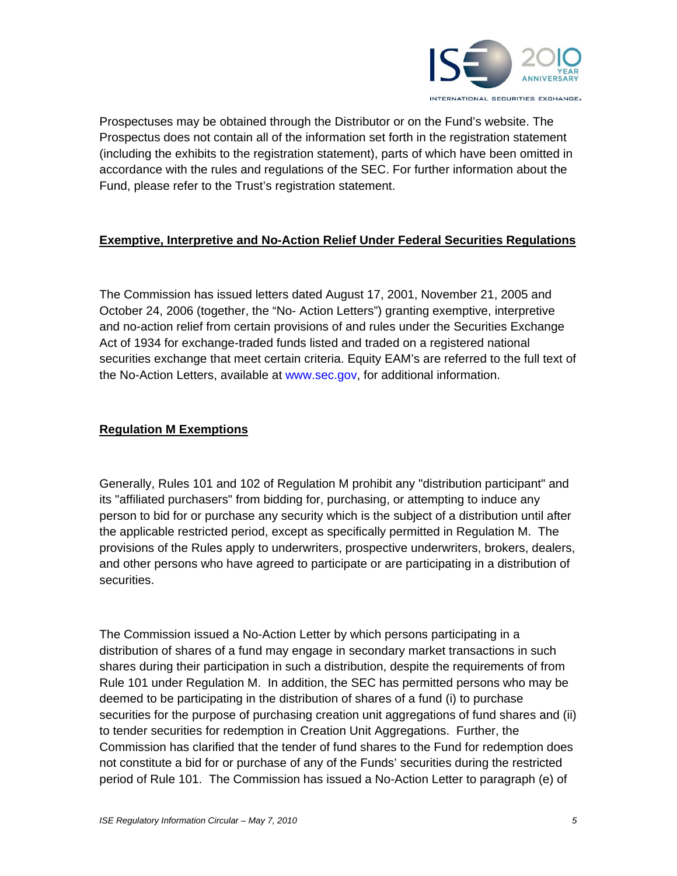

Prospectuses may be obtained through the Distributor or on the Fund's website. The Prospectus does not contain all of the information set forth in the registration statement (including the exhibits to the registration statement), parts of which have been omitted in accordance with the rules and regulations of the SEC. For further information about the Fund, please refer to the Trust's registration statement.

## **Exemptive, Interpretive and No-Action Relief Under Federal Securities Regulations**

The Commission has issued letters dated August 17, 2001, November 21, 2005 and October 24, 2006 (together, the "No- Action Letters") granting exemptive, interpretive and no-action relief from certain provisions of and rules under the Securities Exchange Act of 1934 for exchange-traded funds listed and traded on a registered national securities exchange that meet certain criteria. Equity EAM's are referred to the full text of the No-Action Letters, available at www.sec.gov, for additional information.

### **Regulation M Exemptions**

Generally, Rules 101 and 102 of Regulation M prohibit any "distribution participant" and its "affiliated purchasers" from bidding for, purchasing, or attempting to induce any person to bid for or purchase any security which is the subject of a distribution until after the applicable restricted period, except as specifically permitted in Regulation M. The provisions of the Rules apply to underwriters, prospective underwriters, brokers, dealers, and other persons who have agreed to participate or are participating in a distribution of securities.

The Commission issued a No-Action Letter by which persons participating in a distribution of shares of a fund may engage in secondary market transactions in such shares during their participation in such a distribution, despite the requirements of from Rule 101 under Regulation M. In addition, the SEC has permitted persons who may be deemed to be participating in the distribution of shares of a fund (i) to purchase securities for the purpose of purchasing creation unit aggregations of fund shares and (ii) to tender securities for redemption in Creation Unit Aggregations. Further, the Commission has clarified that the tender of fund shares to the Fund for redemption does not constitute a bid for or purchase of any of the Funds' securities during the restricted period of Rule 101. The Commission has issued a No-Action Letter to paragraph (e) of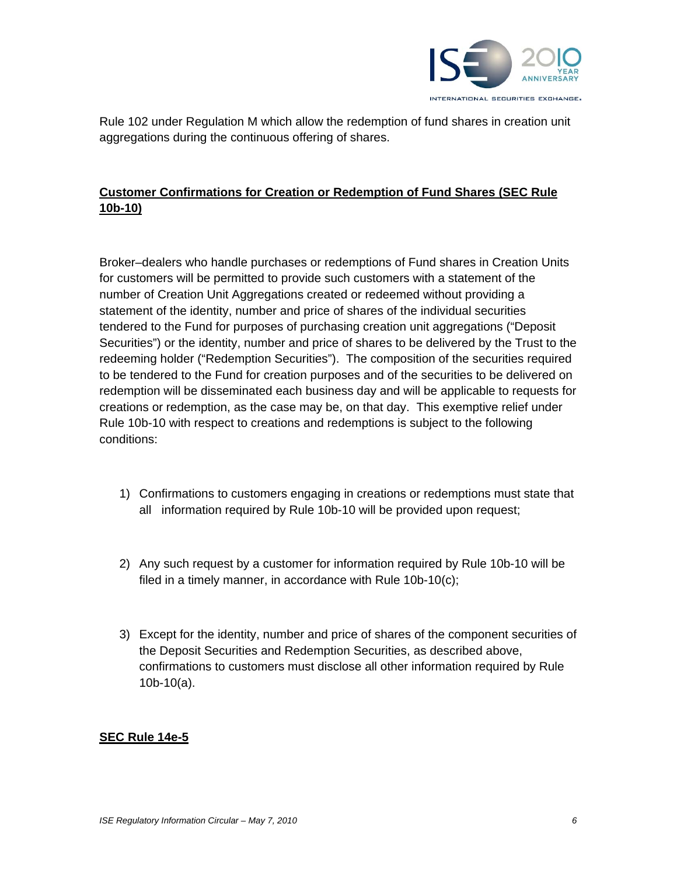

Rule 102 under Regulation M which allow the redemption of fund shares in creation unit aggregations during the continuous offering of shares.

## **Customer Confirmations for Creation or Redemption of Fund Shares (SEC Rule 10b-10)**

Broker–dealers who handle purchases or redemptions of Fund shares in Creation Units for customers will be permitted to provide such customers with a statement of the number of Creation Unit Aggregations created or redeemed without providing a statement of the identity, number and price of shares of the individual securities tendered to the Fund for purposes of purchasing creation unit aggregations ("Deposit Securities") or the identity, number and price of shares to be delivered by the Trust to the redeeming holder ("Redemption Securities"). The composition of the securities required to be tendered to the Fund for creation purposes and of the securities to be delivered on redemption will be disseminated each business day and will be applicable to requests for creations or redemption, as the case may be, on that day. This exemptive relief under Rule 10b-10 with respect to creations and redemptions is subject to the following conditions:

- 1) Confirmations to customers engaging in creations or redemptions must state that all information required by Rule 10b-10 will be provided upon request;
- 2) Any such request by a customer for information required by Rule 10b-10 will be filed in a timely manner, in accordance with Rule 10b-10(c);
- 3) Except for the identity, number and price of shares of the component securities of the Deposit Securities and Redemption Securities, as described above, confirmations to customers must disclose all other information required by Rule 10b-10(a).

#### **SEC Rule 14e-5**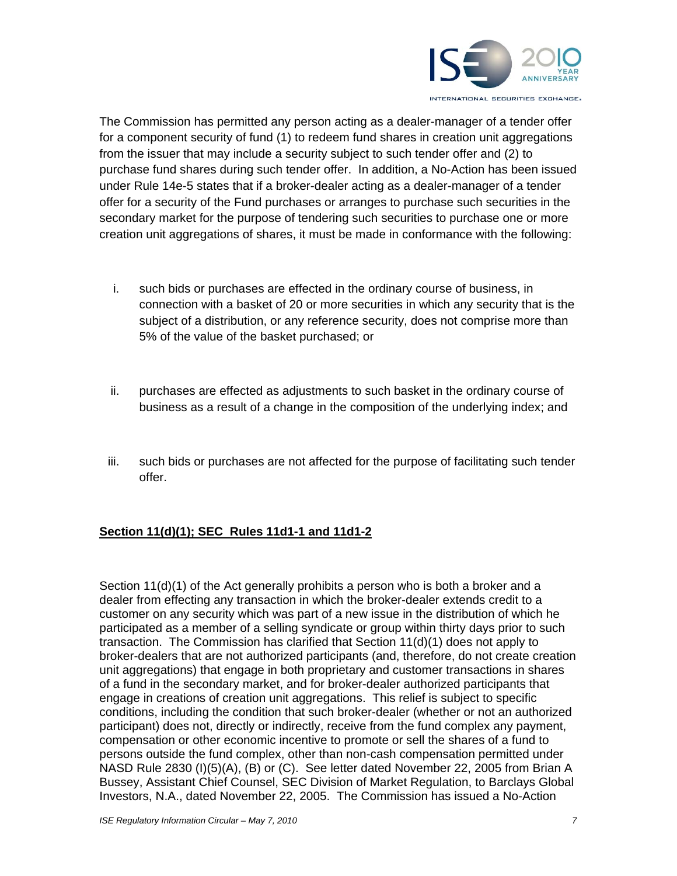

The Commission has permitted any person acting as a dealer-manager of a tender offer for a component security of fund (1) to redeem fund shares in creation unit aggregations from the issuer that may include a security subject to such tender offer and (2) to purchase fund shares during such tender offer. In addition, a No-Action has been issued under Rule 14e-5 states that if a broker-dealer acting as a dealer-manager of a tender offer for a security of the Fund purchases or arranges to purchase such securities in the secondary market for the purpose of tendering such securities to purchase one or more creation unit aggregations of shares, it must be made in conformance with the following:

- i. such bids or purchases are effected in the ordinary course of business, in connection with a basket of 20 or more securities in which any security that is the subject of a distribution, or any reference security, does not comprise more than 5% of the value of the basket purchased; or
- ii. purchases are effected as adjustments to such basket in the ordinary course of business as a result of a change in the composition of the underlying index; and
- iii. such bids or purchases are not affected for the purpose of facilitating such tender offer.

## **Section 11(d)(1); SEC Rules 11d1-1 and 11d1-2**

Section 11(d)(1) of the Act generally prohibits a person who is both a broker and a dealer from effecting any transaction in which the broker-dealer extends credit to a customer on any security which was part of a new issue in the distribution of which he participated as a member of a selling syndicate or group within thirty days prior to such transaction. The Commission has clarified that Section 11(d)(1) does not apply to broker-dealers that are not authorized participants (and, therefore, do not create creation unit aggregations) that engage in both proprietary and customer transactions in shares of a fund in the secondary market, and for broker-dealer authorized participants that engage in creations of creation unit aggregations. This relief is subject to specific conditions, including the condition that such broker-dealer (whether or not an authorized participant) does not, directly or indirectly, receive from the fund complex any payment, compensation or other economic incentive to promote or sell the shares of a fund to persons outside the fund complex, other than non-cash compensation permitted under NASD Rule 2830 (I)(5)(A), (B) or (C). See letter dated November 22, 2005 from Brian A Bussey, Assistant Chief Counsel, SEC Division of Market Regulation, to Barclays Global Investors, N.A., dated November 22, 2005. The Commission has issued a No-Action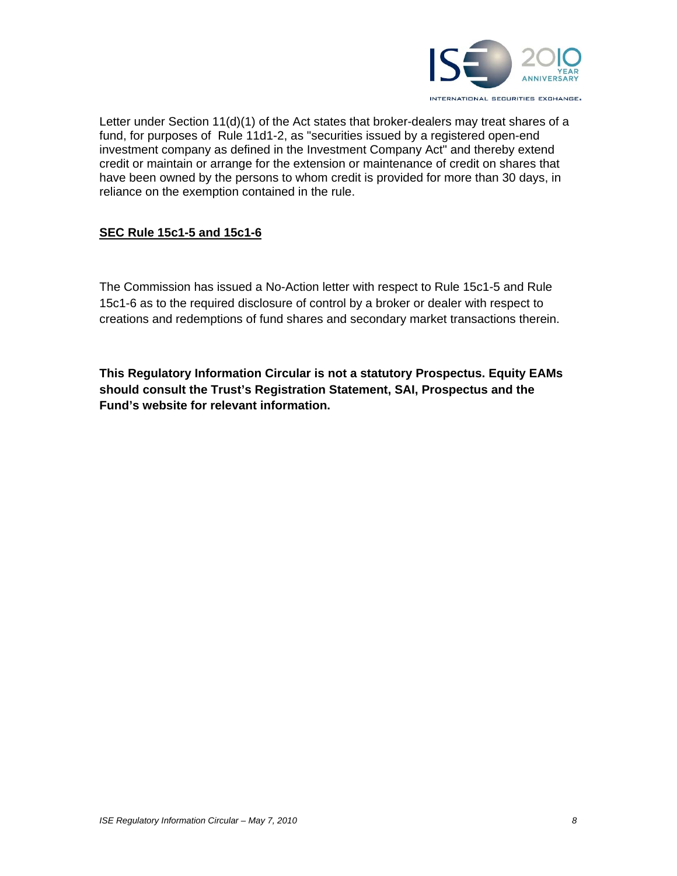

Letter under Section 11(d)(1) of the Act states that broker-dealers may treat shares of a fund, for purposes of Rule 11d1-2, as "securities issued by a registered open-end investment company as defined in the Investment Company Act" and thereby extend credit or maintain or arrange for the extension or maintenance of credit on shares that have been owned by the persons to whom credit is provided for more than 30 days, in reliance on the exemption contained in the rule.

### **SEC Rule 15c1-5 and 15c1-6**

The Commission has issued a No-Action letter with respect to Rule 15c1-5 and Rule 15c1-6 as to the required disclosure of control by a broker or dealer with respect to creations and redemptions of fund shares and secondary market transactions therein.

**This Regulatory Information Circular is not a statutory Prospectus. Equity EAMs should consult the Trust's Registration Statement, SAI, Prospectus and the Fund's website for relevant information.**